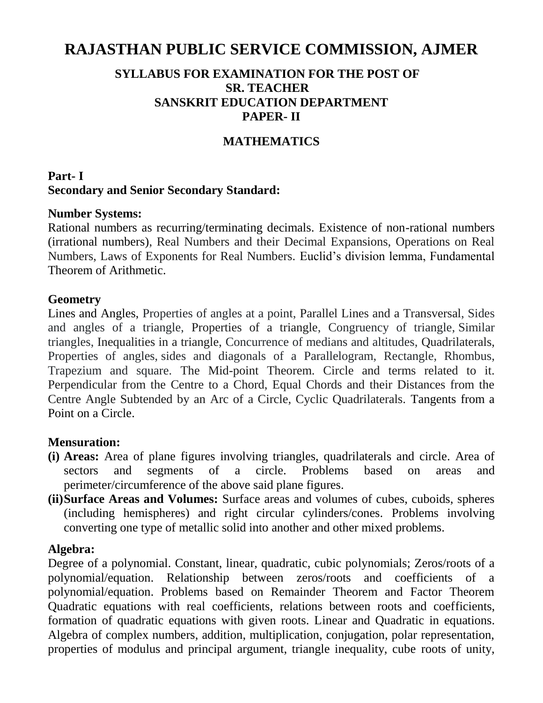# **RAJASTHAN PUBLIC SERVICE COMMISSION, AJMER**

### **SYLLABUS FOR EXAMINATION FOR THE POST OF SR. TEACHER SANSKRIT EDUCATION DEPARTMENT PAPER- II**

### **MATHEMATICS**

## **Part- I Secondary and Senior Secondary Standard:**

#### **Number Systems:**

Rational numbers as recurring/terminating decimals. Existence of non-rational numbers (irrational numbers), Real Numbers and their Decimal Expansions, Operations on Real Numbers, Laws of Exponents for Real Numbers. Euclid's division lemma, Fundamental Theorem of Arithmetic.

#### **Geometry**

Lines and Angles, Properties of angles at a point, Parallel Lines and a Transversal, Sides and angles of a triangle, Properties of a triangle, Congruency of triangle, Similar triangles, Inequalities in a triangle, Concurrence of medians and altitudes, Quadrilaterals, Properties of angles, sides and diagonals of a Parallelogram, Rectangle, Rhombus, Trapezium and square. The Mid-point Theorem. Circle and terms related to it. Perpendicular from the Centre to a Chord, Equal Chords and their Distances from the Centre Angle Subtended by an Arc of a Circle, Cyclic Quadrilaterals. Tangents from a Point on a Circle.

#### **Mensuration:**

- **(i) Areas:** Area of plane figures involving triangles, quadrilaterals and circle. Area of sectors and segments of a circle. Problems based on areas and perimeter/circumference of the above said plane figures.
- **(ii)Surface Areas and Volumes:** Surface areas and volumes of cubes, cuboids, spheres (including hemispheres) and right circular cylinders/cones. Problems involving converting one type of metallic solid into another and other mixed problems.

#### **Algebra:**

Degree of a polynomial. Constant, linear, quadratic, cubic polynomials; Zeros/roots of a polynomial/equation. Relationship between zeros/roots and coefficients of a polynomial/equation. Problems based on Remainder Theorem and Factor Theorem Quadratic equations with real coefficients, relations between roots and coefficients, formation of quadratic equations with given roots. Linear and Quadratic in equations. Algebra of complex numbers, addition, multiplication, conjugation, polar representation, properties of modulus and principal argument, triangle inequality, cube roots of unity,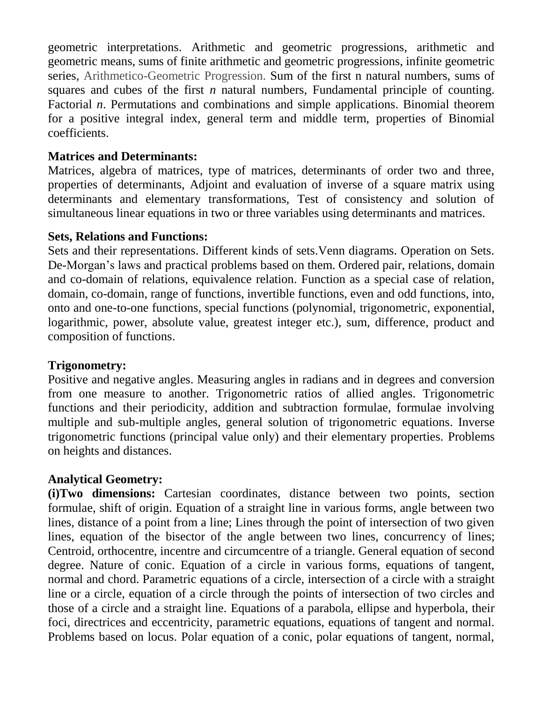geometric interpretations. Arithmetic and geometric progressions, arithmetic and geometric means, sums of finite arithmetic and geometric progressions, infinite geometric series, Arithmetico-Geometric Progression. Sum of the first n natural numbers, sums of squares and cubes of the first *n* natural numbers, Fundamental principle of counting. Factorial *n*. Permutations and combinations and simple applications. Binomial theorem for a positive integral index, general term and middle term, properties of Binomial coefficients.

### **Matrices and Determinants:**

Matrices, algebra of matrices, type of matrices, determinants of order two and three, properties of determinants, Adjoint and evaluation of inverse of a square matrix using determinants and elementary transformations, Test of consistency and solution of simultaneous linear equations in two or three variables using determinants and matrices.

### **Sets, Relations and Functions:**

Sets and their representations. Different kinds of sets.Venn diagrams. Operation on Sets. De-Morgan's laws and practical problems based on them. Ordered pair, relations, domain and co-domain of relations, equivalence relation. Function as a special case of relation, domain, co-domain, range of functions, invertible functions, even and odd functions, into, onto and one-to-one functions, special functions (polynomial, trigonometric, exponential, logarithmic, power, absolute value, greatest integer etc.), sum, difference, product and composition of functions.

## **Trigonometry:**

Positive and negative angles. Measuring angles in radians and in degrees and conversion from one measure to another. Trigonometric ratios of allied angles. Trigonometric functions and their periodicity, addition and subtraction formulae, formulae involving multiple and sub-multiple angles, general solution of trigonometric equations. Inverse trigonometric functions (principal value only) and their elementary properties. Problems on heights and distances.

## **Analytical Geometry:**

**(i)Two dimensions:** Cartesian coordinates, distance between two points, section formulae, shift of origin. Equation of a straight line in various forms, angle between two lines, distance of a point from a line; Lines through the point of intersection of two given lines, equation of the bisector of the angle between two lines, concurrency of lines; Centroid, orthocentre, incentre and circumcentre of a triangle. General equation of second degree. Nature of conic. Equation of a circle in various forms, equations of tangent, normal and chord. Parametric equations of a circle, intersection of a circle with a straight line or a circle, equation of a circle through the points of intersection of two circles and those of a circle and a straight line. Equations of a parabola, ellipse and hyperbola, their foci, directrices and eccentricity, parametric equations, equations of tangent and normal. Problems based on locus. Polar equation of a conic, polar equations of tangent, normal,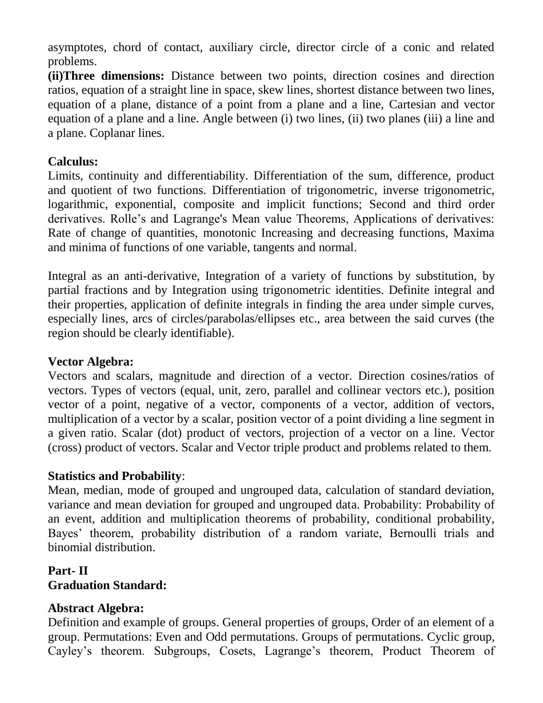asymptotes, chord of contact, auxiliary circle, director circle of a conic and related problems.

**(ii)Three dimensions:** Distance between two points, direction cosines and direction ratios, equation of a straight line in space, skew lines, shortest distance between two lines, equation of a plane, distance of a point from a plane and a line, Cartesian and vector equation of a plane and a line. Angle between (i) two lines, (ii) two planes (iii) a line and a plane. Coplanar lines.

## **Calculus:**

Limits, continuity and differentiability. Differentiation of the sum, difference, product and quotient of two functions. Differentiation of trigonometric, inverse trigonometric, logarithmic, exponential, composite and implicit functions; Second and third order derivatives. Rolle's and Lagrange's Mean value Theorems, Applications of derivatives: Rate of change of quantities, monotonic Increasing and decreasing functions, Maxima and minima of functions of one variable, tangents and normal.

Integral as an anti-derivative, Integration of a variety of functions by substitution, by partial fractions and by Integration using trigonometric identities. Definite integral and their properties, application of definite integrals in finding the area under simple curves, especially lines, arcs of circles/parabolas/ellipses etc., area between the said curves (the region should be clearly identifiable).

### **Vector Algebra:**

Vectors and scalars, magnitude and direction of a vector. Direction cosines/ratios of vectors. Types of vectors (equal, unit, zero, parallel and collinear vectors etc.), position vector of a point, negative of a vector, components of a vector, addition of vectors, multiplication of a vector by a scalar, position vector of a point dividing a line segment in a given ratio. Scalar (dot) product of vectors, projection of a vector on a line. Vector (cross) product of vectors. Scalar and Vector triple product and problems related to them.

### **Statistics and Probability**:

Mean, median, mode of grouped and ungrouped data, calculation of standard deviation, variance and mean deviation for grouped and ungrouped data. Probability: Probability of an event, addition and multiplication theorems of probability, conditional probability, Bayes' theorem, probability distribution of a random variate, Bernoulli trials and binomial distribution.

## **Part- II Graduation Standard:**

## **Abstract Algebra:**

Definition and example of groups. General properties of groups, Order of an element of a group. Permutations: Even and Odd permutations. Groups of permutations. Cyclic group, Cayley's theorem. Subgroups, Cosets, Lagrange's theorem, Product Theorem of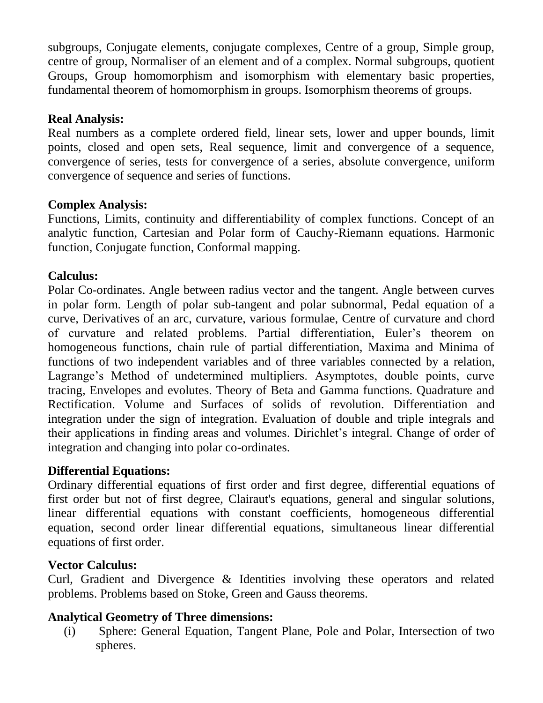subgroups, Conjugate elements, conjugate complexes, Centre of a group, Simple group, centre of group, Normaliser of an element and of a complex. Normal subgroups, quotient Groups, Group homomorphism and isomorphism with elementary basic properties, fundamental theorem of homomorphism in groups. Isomorphism theorems of groups.

### **Real Analysis:**

Real numbers as a complete ordered field, linear sets, lower and upper bounds, limit points, closed and open sets, Real sequence, limit and convergence of a sequence, convergence of series, tests for convergence of a series, absolute convergence, uniform convergence of sequence and series of functions.

### **Complex Analysis:**

Functions, Limits, continuity and differentiability of complex functions. Concept of an analytic function, Cartesian and Polar form of Cauchy-Riemann equations. Harmonic function, Conjugate function, Conformal mapping.

### **Calculus:**

Polar Co-ordinates. Angle between radius vector and the tangent. Angle between curves in polar form. Length of polar sub-tangent and polar subnormal, Pedal equation of a curve, Derivatives of an arc, curvature, various formulae, Centre of curvature and chord of curvature and related problems. Partial differentiation, Euler's theorem on homogeneous functions, chain rule of partial differentiation, Maxima and Minima of functions of two independent variables and of three variables connected by a relation, Lagrange's Method of undetermined multipliers. Asymptotes, double points, curve tracing, Envelopes and evolutes. Theory of Beta and Gamma functions. Quadrature and Rectification. Volume and Surfaces of solids of revolution. Differentiation and integration under the sign of integration. Evaluation of double and triple integrals and their applications in finding areas and volumes. Dirichlet's integral. Change of order of integration and changing into polar co-ordinates.

### **Differential Equations:**

Ordinary differential equations of first order and first degree, differential equations of first order but not of first degree, Clairaut's equations, general and singular solutions, linear differential equations with constant coefficients, homogeneous differential equation, second order linear differential equations, simultaneous linear differential equations of first order.

### **Vector Calculus:**

Curl, Gradient and Divergence & Identities involving these operators and related problems. Problems based on Stoke, Green and Gauss theorems.

### **Analytical Geometry of Three dimensions:**

(i) Sphere: General Equation, Tangent Plane, Pole and Polar, Intersection of two spheres.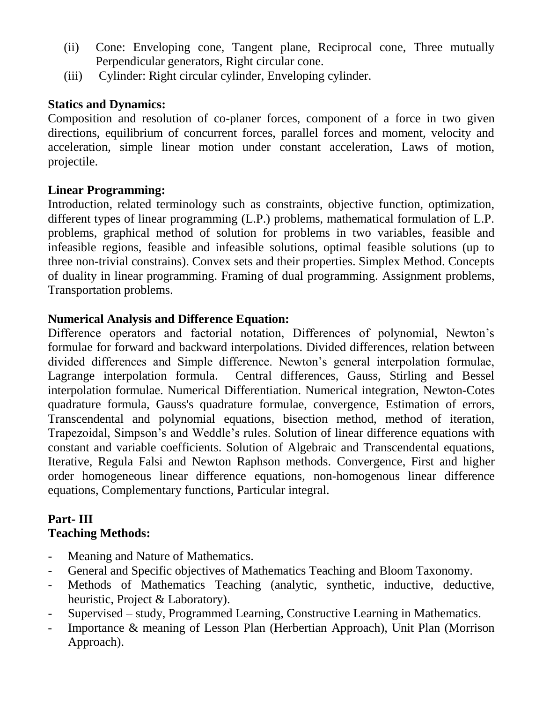- (ii) Cone: Enveloping cone, Tangent plane, Reciprocal cone, Three mutually Perpendicular generators, Right circular cone.
- (iii) Cylinder: Right circular cylinder, Enveloping cylinder.

## **Statics and Dynamics:**

Composition and resolution of co-planer forces, component of a force in two given directions, equilibrium of concurrent forces, parallel forces and moment, velocity and acceleration, simple linear motion under constant acceleration, Laws of motion, projectile.

## **Linear Programming:**

Introduction, related terminology such as constraints, objective function, optimization, different types of linear programming (L.P.) problems, mathematical formulation of L.P. problems, graphical method of solution for problems in two variables, feasible and infeasible regions, feasible and infeasible solutions, optimal feasible solutions (up to three non-trivial constrains). Convex sets and their properties. Simplex Method. Concepts of duality in linear programming. Framing of dual programming. Assignment problems, Transportation problems.

## **Numerical Analysis and Difference Equation:**

Difference operators and factorial notation, Differences of polynomial, Newton's formulae for forward and backward interpolations. Divided differences, relation between divided differences and Simple difference. Newton's general interpolation formulae, Lagrange interpolation formula. Central differences, Gauss, Stirling and Bessel interpolation formulae. Numerical Differentiation. Numerical integration, Newton-Cotes quadrature formula, Gauss's quadrature formulae, convergence, Estimation of errors, Transcendental and polynomial equations, bisection method, method of iteration, Trapezoidal, Simpson's and Weddle's rules. Solution of linear difference equations with constant and variable coefficients. Solution of Algebraic and Transcendental equations, Iterative, Regula Falsi and Newton Raphson methods. Convergence, First and higher order homogeneous linear difference equations, non-homogenous linear difference equations, Complementary functions, Particular integral.

### **Part- III Teaching Methods:**

- Meaning and Nature of Mathematics.
- General and Specific objectives of Mathematics Teaching and Bloom Taxonomy.
- Methods of Mathematics Teaching (analytic, synthetic, inductive, deductive, heuristic, Project & Laboratory).
- Supervised study, Programmed Learning, Constructive Learning in Mathematics.
- Importance & meaning of Lesson Plan (Herbertian Approach), Unit Plan (Morrison Approach).